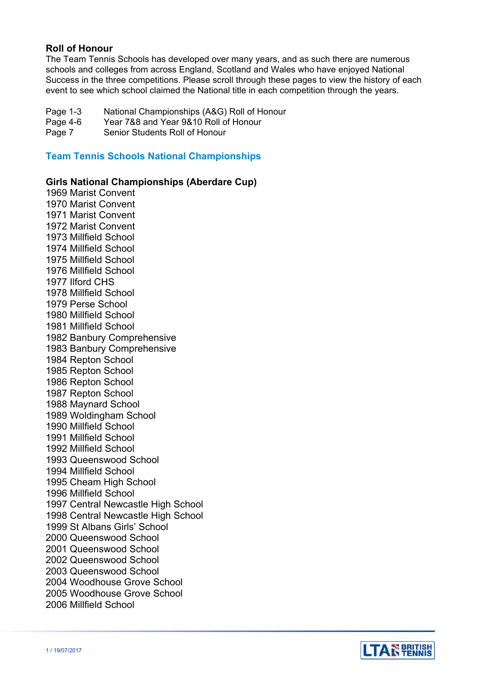# **Roll of Honour**

The Team Tennis Schools has developed over many years, and as such there are numerous schools and colleges from across England, Scotland and Wales who have enjoyed National Success in the three competitions. Please scroll through these pages to view the history of each event to see which school claimed the National title in each competition through the years.

- Page 1-3 National Championships (A&G) Roll of Honour
- Page 4-6 Year 7&8 and Year 9&10 Roll of Honour

Page 7 Senior Students Roll of Honour

# **Team Tennis Schools National Championships**

### **Girls National Championships (Aberdare Cup)**

1969 Marist Convent 1970 Marist Convent 1971 Marist Convent 1972 Marist Convent 1973 Millfield School 1974 Millfield School 1975 Millfield School 1976 Millfield School 1977 Ilford CHS 1978 Millfield School 1979 Perse School 1980 Millfield School 1981 Millfield School 1982 Banbury Comprehensive 1983 Banbury Comprehensive 1984 Repton School 1985 Repton School 1986 Repton School 1987 Repton School 1988 Maynard School 1989 Woldingham School 1990 Millfield School 1991 Millfield School 1992 Millfield School 1993 Queenswood School 1994 Millfield School 1995 Cheam High School 1996 Millfield School 1997 Central Newcastle High School 1998 Central Newcastle High School 1999 St Albans Girls' School 2000 Queenswood School 2001 Queenswood School 2002 Queenswood School 2003 Queenswood School 2004 Woodhouse Grove School 2005 Woodhouse Grove School 2006 Millfield School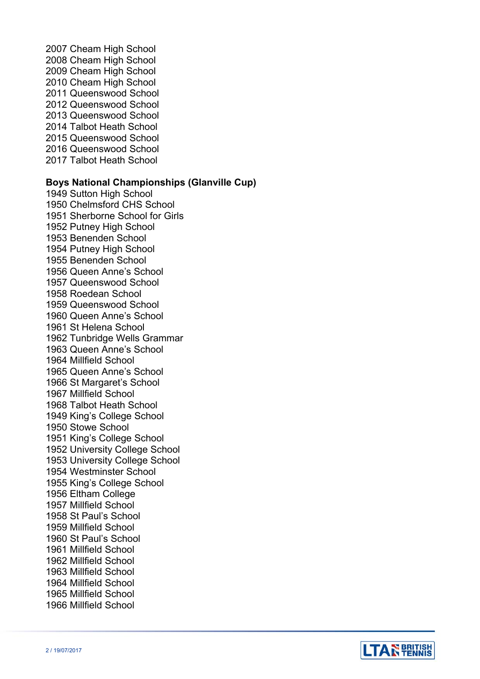2007 Cheam High School 2008 Cheam High School 2009 Cheam High School 2010 Cheam High School 2011 Queenswood School 2012 Queenswood School 2013 Queenswood School 2014 Talbot Heath School 2015 Queenswood School 2016 Queenswood School 2017 Talbot Heath School

## **Boys National Championships (Glanville Cup)**

1949 Sutton High School 1950 Chelmsford CHS School 1951 Sherborne School for Girls 1952 Putney High School 1953 Benenden School 1954 Putney High School 1955 Benenden School 1956 Queen Anne's School 1957 Queenswood School 1958 Roedean School 1959 Queenswood School 1960 Queen Anne's School 1961 St Helena School 1962 Tunbridge Wells Grammar 1963 Queen Anne's School 1964 Millfield School 1965 Queen Anne's School 1966 St Margaret's School 1967 Millfield School 1968 Talbot Heath School 1949 King's College School 1950 Stowe School 1951 King's College School 1952 University College School 1953 University College School 1954 Westminster School 1955 King's College School 1956 Eltham College 1957 Millfield School 1958 St Paul's School 1959 Millfield School 1960 St Paul's School 1961 Millfield School 1962 Millfield School 1963 Millfield School 1964 Millfield School 1965 Millfield School 1966 Millfield School

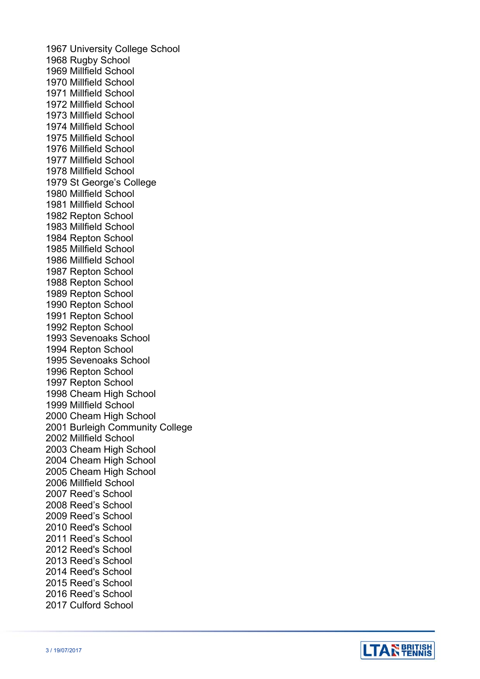1967 University College School 1968 Rugby School 1969 Millfield School 1970 Millfield School 1971 Millfield School 1972 Millfield School 1973 Millfield School 1974 Millfield School 1975 Millfield School 1976 Millfield School 1977 Millfield School 1978 Millfield School 1979 St George's College 1980 Millfield School 1981 Millfield School 1982 Repton School 1983 Millfield School 1984 Repton School 1985 Millfield School 1986 Millfield School 1987 Repton School 1988 Repton School 1989 Repton School 1990 Repton School 1991 Repton School 1992 Repton School 1993 Sevenoaks School 1994 Repton School 1995 Sevenoaks School 1996 Repton School 1997 Repton School 1998 Cheam High School 1999 Millfield School 2000 Cheam High School 2001 Burleigh Community College 2002 Millfield School 2003 Cheam High School 2004 Cheam High School 2005 Cheam High School 2006 Millfield School 2007 Reed's School 2008 Reed's School 2009 Reed's School 2010 Reed's School 2011 Reed's School 2012 Reed's School 2013 Reed's School 2014 Reed's School 2015 Reed's School 2016 Reed's School 2017 Culford School

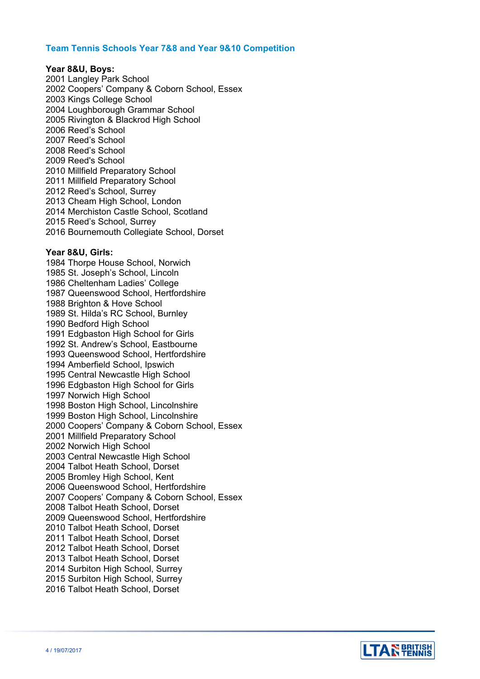### **Team Tennis Schools Year 7&8 and Year 9&10 Competition**

#### **Year 8&U, Boys:**

2001 Langley Park School 2002 Coopers' Company & Coborn School, Essex 2003 Kings College School 2004 Loughborough Grammar School 2005 Rivington & Blackrod High School 2006 Reed's School 2007 Reed's School 2008 Reed's School 2009 Reed's School 2010 Millfield Preparatory School 2011 Millfield Preparatory School 2012 Reed's School, Surrey 2013 Cheam High School, London 2014 Merchiston Castle School, Scotland 2015 Reed's School, Surrey 2016 Bournemouth Collegiate School, Dorset

#### **Year 8&U, Girls:**

1984 Thorpe House School, Norwich 1985 St. Joseph's School, Lincoln 1986 Cheltenham Ladies' College 1987 Queenswood School, Hertfordshire 1988 Brighton & Hove School 1989 St. Hilda's RC School, Burnley 1990 Bedford High School 1991 Edgbaston High School for Girls 1992 St. Andrew's School, Eastbourne 1993 Queenswood School, Hertfordshire 1994 Amberfield School, Ipswich 1995 Central Newcastle High School 1996 Edgbaston High School for Girls 1997 Norwich High School 1998 Boston High School, Lincolnshire 1999 Boston High School, Lincolnshire 2000 Coopers' Company & Coborn School, Essex 2001 Millfield Preparatory School 2002 Norwich High School 2003 Central Newcastle High School 2004 Talbot Heath School, Dorset 2005 Bromley High School, Kent 2006 Queenswood School, Hertfordshire 2007 Coopers' Company & Coborn School, Essex 2008 Talbot Heath School, Dorset 2009 Queenswood School, Hertfordshire 2010 Talbot Heath School, Dorset 2011 Talbot Heath School, Dorset 2012 Talbot Heath School, Dorset 2013 Talbot Heath School, Dorset 2014 Surbiton High School, Surrey 2015 Surbiton High School, Surrey 2016 Talbot Heath School, Dorset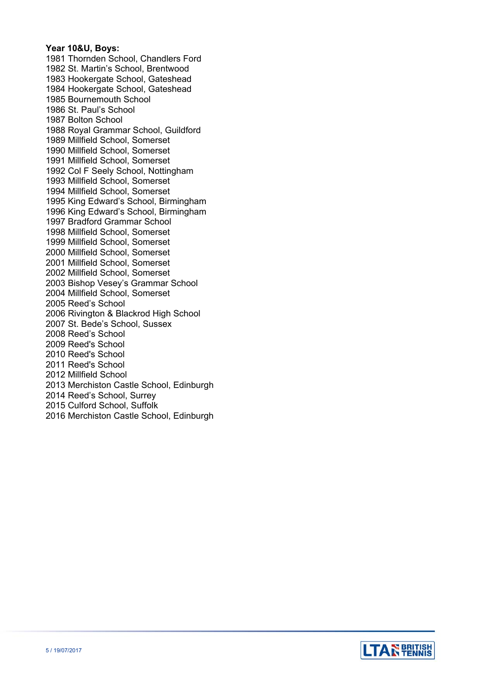#### **Year 10&U, Boys:**

1981 Thornden School, Chandlers Ford 1982 St. Martin's School, Brentwood 1983 Hookergate School, Gateshead 1984 Hookergate School, Gateshead 1985 Bournemouth School 1986 St. Paul's School 1987 Bolton School 1988 Royal Grammar School, Guildford 1989 Millfield School, Somerset 1990 Millfield School, Somerset 1991 Millfield School, Somerset 1992 Col F Seely School, Nottingham 1993 Millfield School, Somerset 1994 Millfield School, Somerset 1995 King Edward's School, Birmingham 1996 King Edward's School, Birmingham 1997 Bradford Grammar School 1998 Millfield School, Somerset 1999 Millfield School, Somerset 2000 Millfield School, Somerset 2001 Millfield School, Somerset 2002 Millfield School, Somerset 2003 Bishop Vesey's Grammar School 2004 Millfield School, Somerset 2005 Reed's School 2006 Rivington & Blackrod High School 2007 St. Bede's School, Sussex 2008 Reed's School 2009 Reed's School 2010 Reed's School 2011 Reed's School 2012 Millfield School 2013 Merchiston Castle School, Edinburgh 2014 Reed's School, Surrey 2015 Culford School, Suffolk 2016 Merchiston Castle School, Edinburgh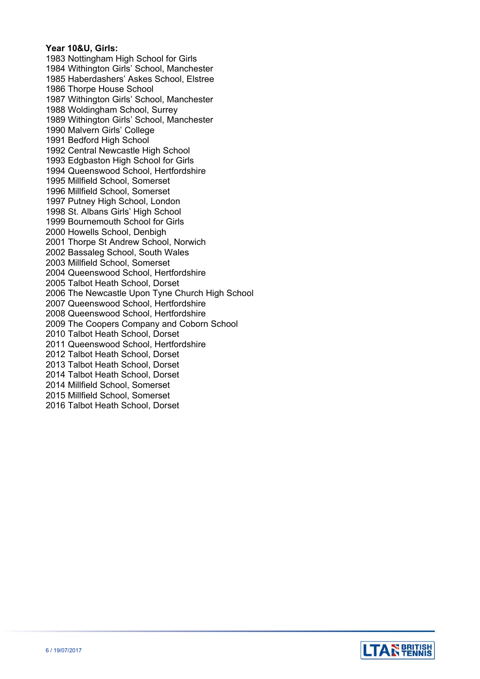### **Year 10&U, Girls:**

1983 Nottingham High School for Girls 1984 Withington Girls' School, Manchester 1985 Haberdashers' Askes School, Elstree 1986 Thorpe House School 1987 Withington Girls' School, Manchester 1988 Woldingham School, Surrey 1989 Withington Girls' School, Manchester 1990 Malvern Girls' College 1991 Bedford High School 1992 Central Newcastle High School 1993 Edgbaston High School for Girls 1994 Queenswood School, Hertfordshire 1995 Millfield School, Somerset 1996 Millfield School, Somerset 1997 Putney High School, London 1998 St. Albans Girls' High School 1999 Bournemouth School for Girls 2000 Howells School, Denbigh 2001 Thorpe St Andrew School, Norwich 2002 Bassaleg School, South Wales 2003 Millfield School, Somerset 2004 Queenswood School, Hertfordshire 2005 Talbot Heath School, Dorset 2006 The Newcastle Upon Tyne Church High School 2007 Queenswood School, Hertfordshire 2008 Queenswood School, Hertfordshire 2009 The Coopers Company and Coborn School 2010 Talbot Heath School, Dorset 2011 Queenswood School, Hertfordshire 2012 Talbot Heath School, Dorset 2013 Talbot Heath School, Dorset 2014 Talbot Heath School, Dorset 2014 Millfield School, Somerset 2015 Millfield School, Somerset 2016 Talbot Heath School, Dorset

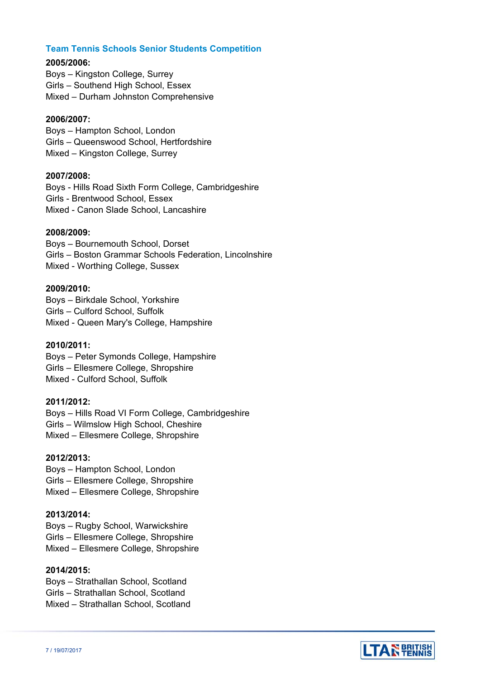## **Team Tennis Schools Senior Students Competition**

### **2005/2006:**

Boys – Kingston College, Surrey Girls – Southend High School, Essex Mixed – Durham Johnston Comprehensive

### **2006/2007:**

Boys – Hampton School, London Girls – Queenswood School, Hertfordshire Mixed – Kingston College, Surrey

#### **2007/2008:**

Boys - Hills Road Sixth Form College, Cambridgeshire Girls - Brentwood School, Essex Mixed - Canon Slade School, Lancashire

#### **2008/2009:**

Boys – Bournemouth School, Dorset Girls – Boston Grammar Schools Federation, Lincolnshire Mixed - Worthing College, Sussex

#### **2009/2010:**

Boys – Birkdale School, Yorkshire Girls – Culford School, Suffolk Mixed - Queen Mary's College, Hampshire

### **2010/2011:**

Boys – Peter Symonds College, Hampshire Girls – Ellesmere College, Shropshire Mixed - Culford School, Suffolk

### **2011/2012:**

Boys – Hills Road VI Form College, Cambridgeshire Girls – Wilmslow High School, Cheshire Mixed – Ellesmere College, Shropshire

#### **2012/2013:**

Boys – Hampton School, London Girls – Ellesmere College, Shropshire Mixed – Ellesmere College, Shropshire

#### **2013/2014:**

Boys – Rugby School, Warwickshire Girls – Ellesmere College, Shropshire Mixed – Ellesmere College, Shropshire

## **2014/2015:**

Boys – Strathallan School, Scotland Girls – Strathallan School, Scotland Mixed – Strathallan School, Scotland